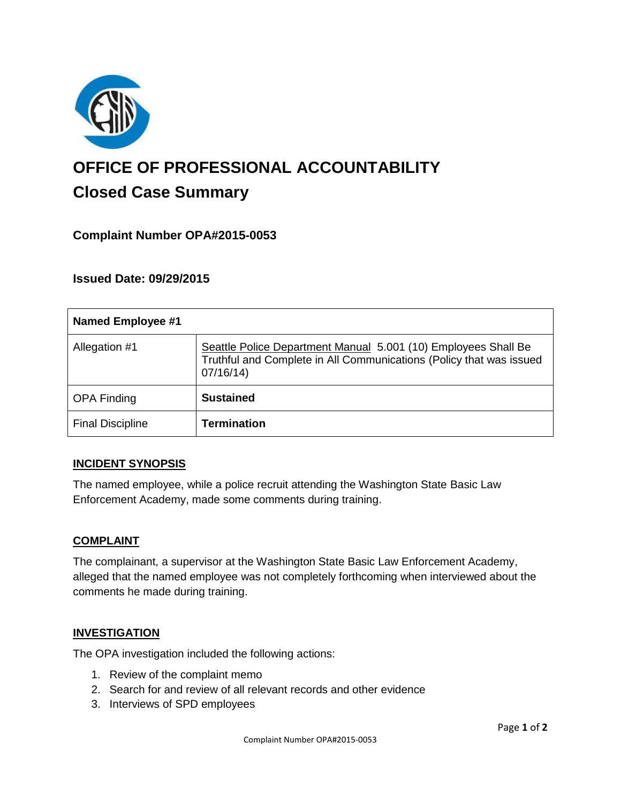

# **OFFICE OF PROFESSIONAL ACCOUNTABILITY Closed Case Summary**

## **Complaint Number OPA#2015-0053**

## **Issued Date: 09/29/2015**

| Named Employee #1       |                                                                                                                                                   |
|-------------------------|---------------------------------------------------------------------------------------------------------------------------------------------------|
| Allegation #1           | Seattle Police Department Manual 5.001 (10) Employees Shall Be<br>Truthful and Complete in All Communications (Policy that was issued<br>07/16/14 |
| <b>OPA Finding</b>      | <b>Sustained</b>                                                                                                                                  |
| <b>Final Discipline</b> | <b>Termination</b>                                                                                                                                |

## **INCIDENT SYNOPSIS**

The named employee, while a police recruit attending the Washington State Basic Law Enforcement Academy, made some comments during training.

#### **COMPLAINT**

The complainant, a supervisor at the Washington State Basic Law Enforcement Academy, alleged that the named employee was not completely forthcoming when interviewed about the comments he made during training.

#### **INVESTIGATION**

The OPA investigation included the following actions:

- 1. Review of the complaint memo
- 2. Search for and review of all relevant records and other evidence
- 3. Interviews of SPD employees